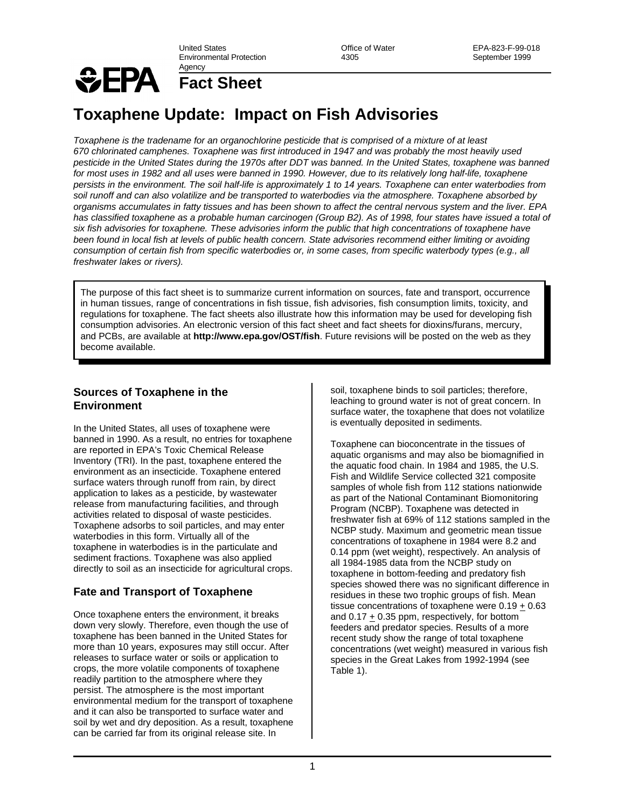United States Environmental Protection Agency

Office of Water 4305

# *SEPA*

**Fact Sheet**

# **Toxaphene Update: Impact on Fish Advisories**

*Toxaphene is the tradename for an organochlorine pesticide that is comprised of a mixture of at least 670 chlorinated camphenes. Toxaphene was first introduced in 1947 and was probably the most heavily used pesticide in the United States during the 1970s after DDT was banned. In the United States, toxaphene was banned for most uses in 1982 and all uses were banned in 1990. However, due to its relatively long half-life, toxaphene persists in the environment. The soil half-life is approximately 1 to 14 years. Toxaphene can enter waterbodies from soil runoff and can also volatilize and be transported to waterbodies via the atmosphere. Toxaphene absorbed by organisms accumulates in fatty tissues and has been shown to affect the central nervous system and the liver. EPA has classified toxaphene as a probable human carcinogen (Group B2). As of 1998, four states have issued a total of six fish advisories for toxaphene. These advisories inform the public that high concentrations of toxaphene have been found in local fish at levels of public health concern. State advisories recommend either limiting or avoiding consumption of certain fish from specific waterbodies or, in some cases, from specific waterbody types (e.g., all freshwater lakes or rivers).* 

The purpose of this fact sheet is to summarize current information on sources, fate and transport, occurrence in human tissues, range of concentrations in fish tissue, fish advisories, fish consumption limits, toxicity, and regulations for toxaphene. The fact sheets also illustrate how this information may be used for developing fish consumption advisories. An electronic version of this fact sheet and fact sheets for dioxins/furans, mercury, and PCBs, are available at **http://www.epa.gov/OST/fish**. Future revisions will be posted on the web as they become available.

## **Sources of Toxaphene in the Environment**

In the United States, all uses of toxaphene were banned in 1990. As a result, no entries for toxaphene are reported in EPA's Toxic Chemical Release Inventory (TRI). In the past, toxaphene entered the environment as an insecticide. Toxaphene entered surface waters through runoff from rain, by direct application to lakes as a pesticide, by wastewater release from manufacturing facilities, and through activities related to disposal of waste pesticides. Toxaphene adsorbs to soil particles, and may enter waterbodies in this form. Virtually all of the toxaphene in waterbodies is in the particulate and sediment fractions. Toxaphene was also applied directly to soil as an insecticide for agricultural crops.

# **Fate and Transport of Toxaphene**

Once toxaphene enters the environment, it breaks down very slowly. Therefore, even though the use of toxaphene has been banned in the United States for more than 10 years, exposures may still occur. After releases to surface water or soils or application to crops, the more volatile components of toxaphene readily partition to the atmosphere where they persist. The atmosphere is the most important environmental medium for the transport of toxaphene and it can also be transported to surface water and soil by wet and dry deposition. As a result, toxaphene can be carried far from its original release site. In

soil, toxaphene binds to soil particles; therefore, leaching to ground water is not of great concern. In surface water, the toxaphene that does not volatilize is eventually deposited in sediments.

Toxaphene can bioconcentrate in the tissues of aquatic organisms and may also be biomagnified in the aquatic food chain. In 1984 and 1985, the U.S. Fish and Wildlife Service collected 321 composite samples of whole fish from 112 stations nationwide as part of the National Contaminant Biomonitoring Program (NCBP). Toxaphene was detected in freshwater fish at 69% of 112 stations sampled in the NCBP study. Maximum and geometric mean tissue concentrations of toxaphene in 1984 were 8.2 and 0.14 ppm (wet weight), respectively. An analysis of all 1984-1985 data from the NCBP study on toxaphene in bottom-feeding and predatory fish species showed there was no significant difference in residues in these two trophic groups of fish. Mean tissue concentrations of toxaphene were 0.19 + 0.63 and 0.17 + 0.35 ppm, respectively, for bottom feeders and predator species. Results of a more recent study show the range of total toxaphene concentrations (wet weight) measured in various fish species in the Great Lakes from 1992-1994 (see Table 1).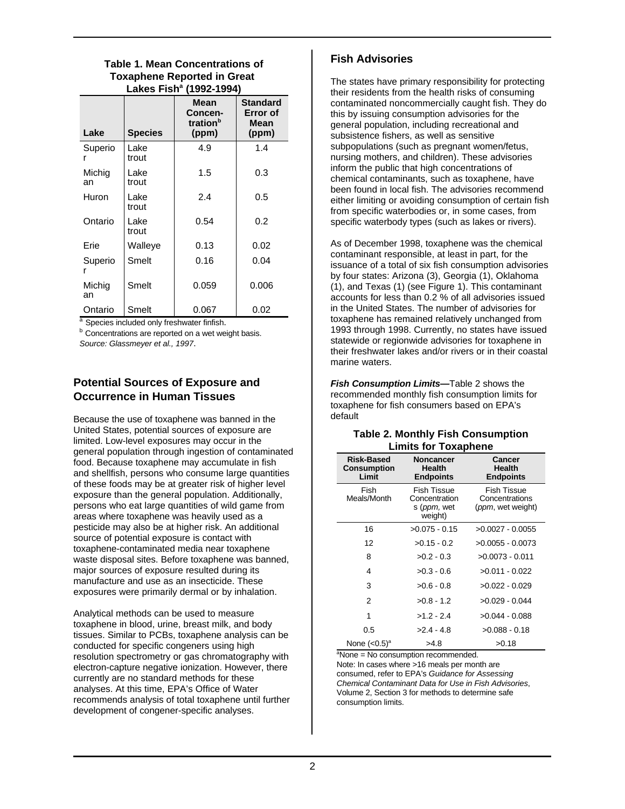**Table 1. Mean Concentrations of Toxaphene Reported in Great Lakes Fish<sup>a</sup> (1992-1994)**

| Lake         | <b>Species</b> | <b>Mean</b><br>Concen-<br>tration <sup>b</sup><br>(ppm) | <b>Standard</b><br>Error of<br>Mean<br>(ppm) |
|--------------|----------------|---------------------------------------------------------|----------------------------------------------|
| Superio      | Lake<br>trout  | 4.9                                                     | 1.4                                          |
| Michig<br>an | Lake<br>trout  | 1.5                                                     | 0.3                                          |
| Huron        | Lake<br>trout  | 2.4                                                     | 0.5                                          |
| Ontario      | Lake<br>trout  | 0.54                                                    | 0.2                                          |
| Erie         | Walleye        | 0.13                                                    | 0.02                                         |
| Superio<br>r | Smelt          | 0.16                                                    | 0.04                                         |
| Michig<br>an | Smelt          | 0.059                                                   | 0.006                                        |
| Ontario      | Smelt          | 0.067                                                   | 0.02                                         |

a Species included only freshwater finfish.

**b** Concentrations are reported on a wet weight basis. *Source: Glassmeyer et al., 1997*.

# **Potential Sources of Exposure and Occurrence in Human Tissues**

Because the use of toxaphene was banned in the United States, potential sources of exposure are limited. Low-level exposures may occur in the general population through ingestion of contaminated food. Because toxaphene may accumulate in fish and shellfish, persons who consume large quantities of these foods may be at greater risk of higher level exposure than the general population. Additionally, persons who eat large quantities of wild game from areas where toxaphene was heavily used as a pesticide may also be at higher risk. An additional source of potential exposure is contact with toxaphene-contaminated media near toxaphene waste disposal sites. Before toxaphene was banned, major sources of exposure resulted during its manufacture and use as an insecticide. These exposures were primarily dermal or by inhalation.

Analytical methods can be used to measure toxaphene in blood, urine, breast milk, and body tissues. Similar to PCBs, toxaphene analysis can be conducted for specific congeners using high resolution spectrometry or gas chromatography with electron-capture negative ionization. However, there currently are no standard methods for these analyses. At this time, EPA's Office of Water recommends analysis of total toxaphene until further development of congener-specific analyses.

# **Fish Advisories**

The states have primary responsibility for protecting their residents from the health risks of consuming contaminated noncommercially caught fish. They do this by issuing consumption advisories for the general population, including recreational and subsistence fishers, as well as sensitive subpopulations (such as pregnant women/fetus, nursing mothers, and children). These advisories inform the public that high concentrations of chemical contaminants, such as toxaphene, have been found in local fish. The advisories recommend either limiting or avoiding consumption of certain fish from specific waterbodies or, in some cases, from specific waterbody types (such as lakes or rivers).

As of December 1998, toxaphene was the chemical contaminant responsible, at least in part, for the issuance of a total of six fish consumption advisories by four states: Arizona (3), Georgia (1), Oklahoma (1), and Texas (1) (see Figure 1). This contaminant accounts for less than 0.2 % of all advisories issued in the United States. The number of advisories for toxaphene has remained relatively unchanged from 1993 through 1998. Currently, no states have issued statewide or regionwide advisories for toxaphene in their freshwater lakes and/or rivers or in their coastal marine waters.

*Fish Consumption Limits—*Table 2 shows the recommended monthly fish consumption limits for toxaphene for fish consumers based on EPA's default

#### **Table 2. Monthly Fish Consumption Limits for Toxaphene**

| Risk-Based<br><b>Consumption</b><br>Limit | Noncancer<br>Health<br><b>Endpoints</b>                         | Cancer<br>Health<br><b>Endpoints</b>                               |
|-------------------------------------------|-----------------------------------------------------------------|--------------------------------------------------------------------|
| Fish<br>Meals/Month                       | Fish Tissue<br>Concentration<br>s ( <i>ppm</i> , wet<br>weight) | <b>Fish Tissue</b><br>Concentrations<br>( <i>ppm</i> , wet weight) |
| 16                                        | $>0.075 - 0.15$                                                 | $>0.0027 - 0.0055$                                                 |
| 12                                        | $>0.15 - 0.2$                                                   | $>0.0055 - 0.0073$                                                 |
| 8                                         | $>0.2 - 0.3$                                                    | $>0.0073 - 0.011$                                                  |
| 4                                         | $>0.3 - 0.6$                                                    | $>0.011 - 0.022$                                                   |
| 3                                         | $>0.6 - 0.8$                                                    | $>0.022 - 0.029$                                                   |
| $\overline{2}$                            | $>0.8 - 1.2$                                                    | $>0.029 - 0.044$                                                   |
| 1                                         | $>1.2 - 2.4$                                                    | $>0.044 - 0.088$                                                   |
| 0.5                                       | $>2.4 - 4.8$                                                    | $>0.088 - 0.18$                                                    |
| None $(<0.5)$ <sup>a</sup>                | >4.8                                                            | >0.18                                                              |

 $a<sup>a</sup>$ None = No consumption recommended. Note: In cases where >16 meals per month are consumed, refer to EPA's *Guidance for Assessing Chemical Contaminant Data for Use in Fish Advisories*, Volume 2, Section 3 for methods to determine safe consumption limits.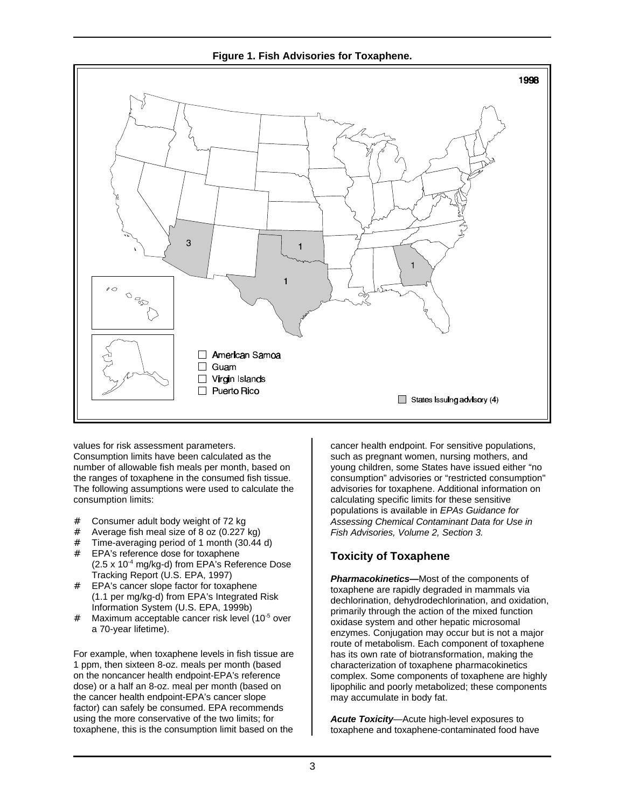**Figure 1. Fish Advisories for Toxaphene.**



values for risk assessment parameters. Consumption limits have been calculated as the number of allowable fish meals per month, based on the ranges of toxaphene in the consumed fish tissue. The following assumptions were used to calculate the consumption limits:

- # Consumer adult body weight of 72 kg
- # Average fish meal size of 8 oz (0.227 kg)
- # Time-averaging period of 1 month (30.44 d)
- # EPA's reference dose for toxaphene  $(2.5 \times 10^{-4} \text{ mg/kg-d})$  from EPA's Reference Dose Tracking Report (U.S. EPA, 1997)
- EPA's cancer slope factor for toxaphene (1.1 per mg/kg-d) from EPA's Integrated Risk Information System (U.S. EPA, 1999b)
- # Maximum acceptable cancer risk level (10<sup>-5</sup> over a 70-year lifetime).

For example, when toxaphene levels in fish tissue are 1 ppm, then sixteen 8-oz. meals per month (based on the noncancer health endpoint-EPA's reference dose) or a half an 8-oz. meal per month (based on the cancer health endpoint-EPA's cancer slope factor) can safely be consumed. EPA recommends using the more conservative of the two limits; for toxaphene, this is the consumption limit based on the

cancer health endpoint. For sensitive populations, such as pregnant women, nursing mothers, and young children, some States have issued either "no consumption" advisories or "restricted consumption" advisories for toxaphene. Additional information on calculating specific limits for these sensitive populations is available in *EPAs Guidance for Assessing Chemical Contaminant Data for Use in Fish Advisories, Volume 2, Section 3.*

# **Toxicity of Toxaphene**

*Pharmacokinetics—*Most of the components of toxaphene are rapidly degraded in mammals via dechlorination, dehydrodechlorination, and oxidation, primarily through the action of the mixed function oxidase system and other hepatic microsomal enzymes. Conjugation may occur but is not a major route of metabolism. Each component of toxaphene has its own rate of biotransformation, making the characterization of toxaphene pharmacokinetics complex. Some components of toxaphene are highly lipophilic and poorly metabolized; these components may accumulate in body fat.

*Acute Toxicity*—Acute high-level exposures to toxaphene and toxaphene-contaminated food have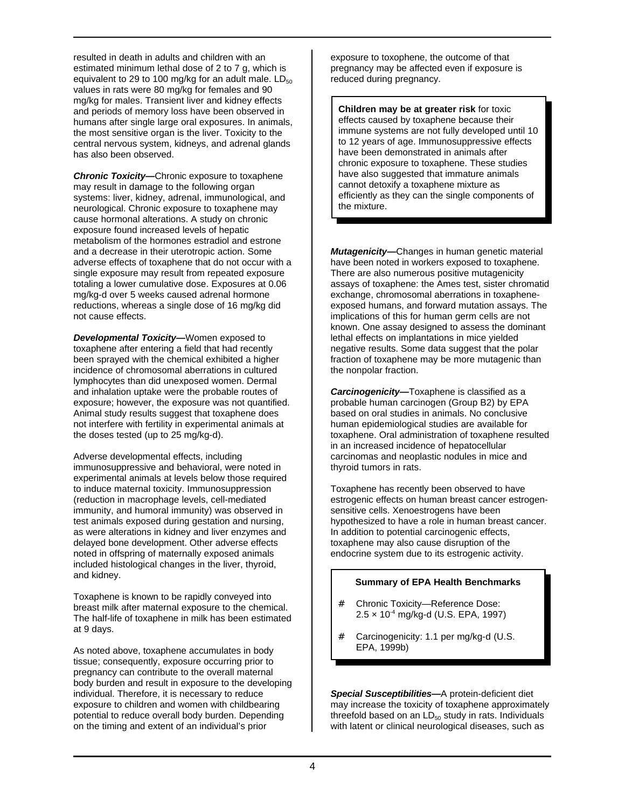resulted in death in adults and children with an estimated minimum lethal dose of 2 to 7 g, which is equivalent to 29 to 100 mg/kg for an adult male.  $LD_{50}$ values in rats were 80 mg/kg for females and 90 mg/kg for males. Transient liver and kidney effects and periods of memory loss have been observed in humans after single large oral exposures. In animals, the most sensitive organ is the liver. Toxicity to the central nervous system, kidneys, and adrenal glands has also been observed.

*Chronic Toxicity—*Chronic exposure to toxaphene may result in damage to the following organ systems: liver, kidney, adrenal, immunological, and neurological. Chronic exposure to toxaphene may cause hormonal alterations. A study on chronic exposure found increased levels of hepatic metabolism of the hormones estradiol and estrone and a decrease in their uterotropic action. Some adverse effects of toxaphene that do not occur with a single exposure may result from repeated exposure totaling a lower cumulative dose. Exposures at 0.06 mg/kg-d over 5 weeks caused adrenal hormone reductions, whereas a single dose of 16 mg/kg did not cause effects.

*Developmental Toxicity—*Women exposed to toxaphene after entering a field that had recently been sprayed with the chemical exhibited a higher incidence of chromosomal aberrations in cultured lymphocytes than did unexposed women. Dermal and inhalation uptake were the probable routes of exposure; however, the exposure was not quantified. Animal study results suggest that toxaphene does not interfere with fertility in experimental animals at the doses tested (up to 25 mg/kg-d).

Adverse developmental effects, including immunosuppressive and behavioral, were noted in experimental animals at levels below those required to induce maternal toxicity. Immunosuppression (reduction in macrophage levels, cell-mediated immunity, and humoral immunity) was observed in test animals exposed during gestation and nursing, as were alterations in kidney and liver enzymes and delayed bone development. Other adverse effects noted in offspring of maternally exposed animals included histological changes in the liver, thyroid, and kidney.

Toxaphene is known to be rapidly conveyed into breast milk after maternal exposure to the chemical. The half-life of toxaphene in milk has been estimated at 9 days.

As noted above, toxaphene accumulates in body tissue; consequently, exposure occurring prior to pregnancy can contribute to the overall maternal body burden and result in exposure to the developing individual. Therefore, it is necessary to reduce exposure to children and women with childbearing potential to reduce overall body burden. Depending on the timing and extent of an individual's prior

exposure to toxophene, the outcome of that pregnancy may be affected even if exposure is reduced during pregnancy.

**Children may be at greater risk** for toxic effects caused by toxaphene because their immune systems are not fully developed until 10 to 12 years of age. Immunosuppressive effects have been demonstrated in animals after chronic exposure to toxaphene. These studies have also suggested that immature animals cannot detoxify a toxaphene mixture as efficiently as they can the single components of the mixture.

*Mutagenicity—*Changes in human genetic material have been noted in workers exposed to toxaphene. There are also numerous positive mutagenicity assays of toxaphene: the Ames test, sister chromatid exchange, chromosomal aberrations in toxapheneexposed humans, and forward mutation assays. The implications of this for human germ cells are not known. One assay designed to assess the dominant lethal effects on implantations in mice yielded negative results. Some data suggest that the polar fraction of toxaphene may be more mutagenic than the nonpolar fraction.

*Carcinogenicity—*Toxaphene is classified as a probable human carcinogen (Group B2) by EPA based on oral studies in animals. No conclusive human epidemiological studies are available for toxaphene. Oral administration of toxaphene resulted in an increased incidence of hepatocellular carcinomas and neoplastic nodules in mice and thyroid tumors in rats.

Toxaphene has recently been observed to have estrogenic effects on human breast cancer estrogensensitive cells. Xenoestrogens have been hypothesized to have a role in human breast cancer. In addition to potential carcinogenic effects, toxaphene may also cause disruption of the endocrine system due to its estrogenic activity.

#### **Summary of EPA Health Benchmarks**

- # Chronic Toxicity—Reference Dose: 2.5 × 10-4 mg/kg-d (U.S. EPA, 1997)
- Carcinogenicity: 1.1 per mg/kg-d (U.S. EPA, 1999b)

*Special Susceptibilities—*A protein-deficient diet may increase the toxicity of toxaphene approximately threefold based on an  $LD_{50}$  study in rats. Individuals with latent or clinical neurological diseases, such as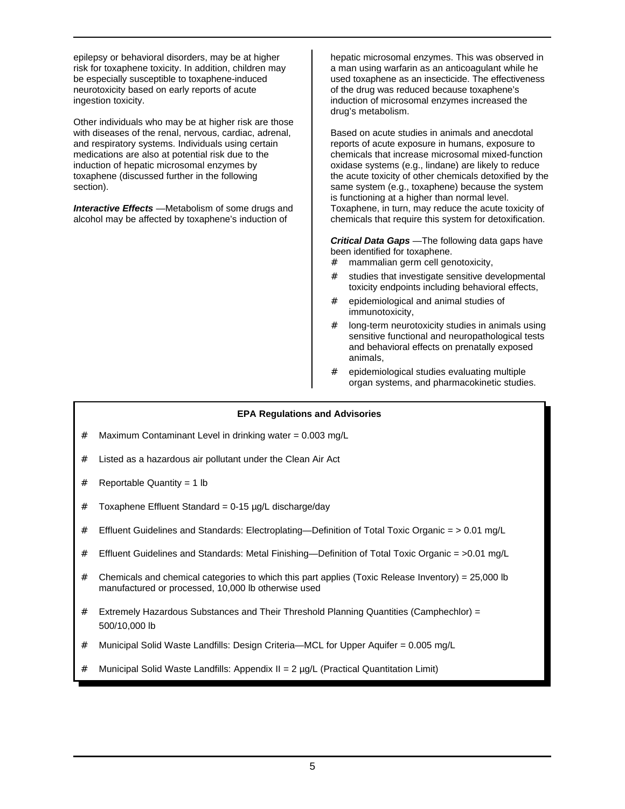epilepsy or behavioral disorders, may be at higher risk for toxaphene toxicity. In addition, children may be especially susceptible to toxaphene-induced neurotoxicity based on early reports of acute ingestion toxicity.

Other individuals who may be at higher risk are those with diseases of the renal, nervous, cardiac, adrenal, and respiratory systems. Individuals using certain medications are also at potential risk due to the induction of hepatic microsomal enzymes by toxaphene (discussed further in the following section).

*Interactive Effects* —Metabolism of some drugs and alcohol may be affected by toxaphene's induction of

hepatic microsomal enzymes. This was observed in a man using warfarin as an anticoagulant while he used toxaphene as an insecticide. The effectiveness of the drug was reduced because toxaphene's induction of microsomal enzymes increased the drug's metabolism.

Based on acute studies in animals and anecdotal reports of acute exposure in humans, exposure to chemicals that increase microsomal mixed-function oxidase systems (e.g., lindane) are likely to reduce the acute toxicity of other chemicals detoxified by the same system (e.g., toxaphene) because the system is functioning at a higher than normal level. Toxaphene, in turn, may reduce the acute toxicity of chemicals that require this system for detoxification.

*Critical Data Gaps* —The following data gaps have been identified for toxaphene.

- # mammalian germ cell genotoxicity,
- # studies that investigate sensitive developmental toxicity endpoints including behavioral effects,
- # epidemiological and animal studies of immunotoxicity,
- # long-term neurotoxicity studies in animals using sensitive functional and neuropathological tests and behavioral effects on prenatally exposed animals,
- # epidemiological studies evaluating multiple organ systems, and pharmacokinetic studies.

#### **EPA Regulations and Advisories**

- # Maximum Contaminant Level in drinking water = 0.003 mg/L
- # Listed as a hazardous air pollutant under the Clean Air Act
- # Reportable Quantity = 1 lb
- $#$  Toxaphene Effluent Standard = 0-15  $\mu$ g/L discharge/day
- # Effluent Guidelines and Standards: Electroplating—Definition of Total Toxic Organic = > 0.01 mg/L
- # Effluent Guidelines and Standards: Metal Finishing—Definition of Total Toxic Organic = >0.01 mg/L
- # Chemicals and chemical categories to which this part applies (Toxic Release Inventory) = 25,000 lb manufactured or processed, 10,000 lb otherwise used
- # Extremely Hazardous Substances and Their Threshold Planning Quantities (Camphechlor) = 500/10,000 lb
- # Municipal Solid Waste Landfills: Design Criteria—MCL for Upper Aquifer = 0.005 mg/L
- Municipal Solid Waste Landfills: Appendix II =  $2 \mu q/L$  (Practical Quantitation Limit)